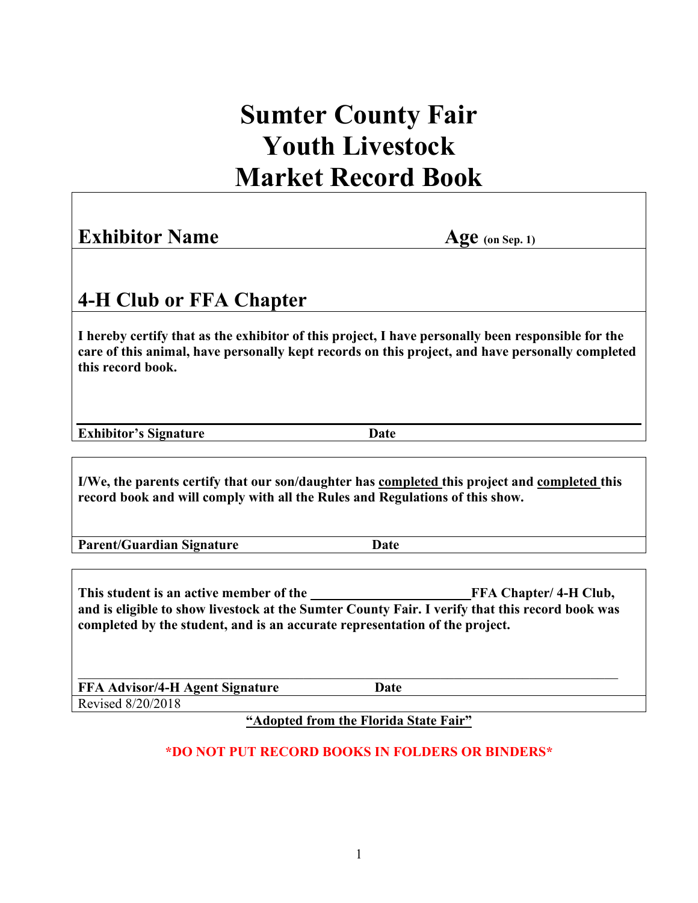# **Sumter County Fair Youth Livestock Market Record Book**

### **Exhibitor Name** Age (on Sep. 1)

### **4-H Club or FFA Chapter**

**I hereby certify that as the exhibitor of this project, I have personally been responsible for the care of this animal, have personally kept records on this project, and have personally completed this record book.**

**Exhibitor's Signature Date** 

**I/We, the parents certify that our son/daughter has completed this project and completed this record book and will comply with all the Rules and Regulations of this show.**

**Parent/Guardian Signature Date**

This student is an active member of the **FFA Chapter/ 4-H Club**, **and is eligible to show livestock at the Sumter County Fair. I verify that this record book was completed by the student, and is an accurate representation of the project.**

\_\_\_\_\_\_\_\_\_\_\_\_\_\_\_\_\_\_\_\_\_\_\_\_\_\_\_\_\_\_\_\_\_\_\_\_\_\_\_\_\_\_\_\_\_\_\_\_\_\_\_\_\_\_\_\_\_\_\_\_\_\_\_\_\_\_\_\_\_\_\_\_\_\_\_\_\_\_\_ **FFA Advisor/4-H Agent Signature Date** Revised 8/20/2018

**"Adopted from the Florida State Fair"**

#### **\*DO NOT PUT RECORD BOOKS IN FOLDERS OR BINDERS\***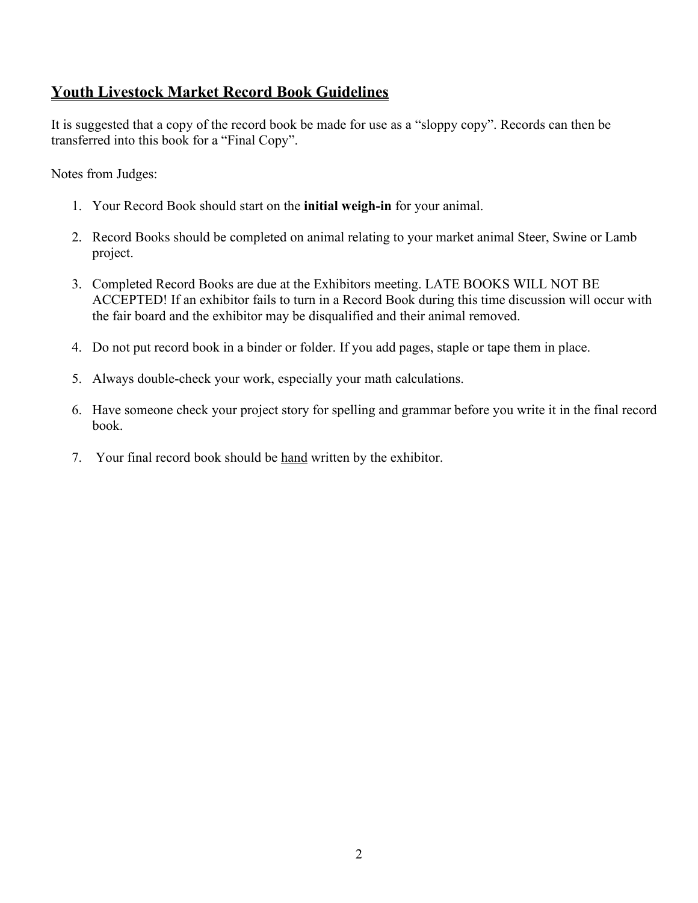### **Youth Livestock Market Record Book Guidelines**

It is suggested that a copy of the record book be made for use as a "sloppy copy". Records can then be transferred into this book for a "Final Copy".

Notes from Judges:

- 1. Your Record Book should start on the **initial weigh-in** for your animal.
- 2. Record Books should be completed on animal relating to your market animal Steer, Swine or Lamb project.
- 3. Completed Record Books are due at the Exhibitors meeting. LATE BOOKS WILL NOT BE ACCEPTED! If an exhibitor fails to turn in a Record Book during this time discussion will occur with the fair board and the exhibitor may be disqualified and their animal removed.
- 4. Do not put record book in a binder or folder. If you add pages, staple or tape them in place.
- 5. Always double-check your work, especially your math calculations.
- 6. Have someone check your project story for spelling and grammar before you write it in the final record book.
- 7. Your final record book should be hand written by the exhibitor.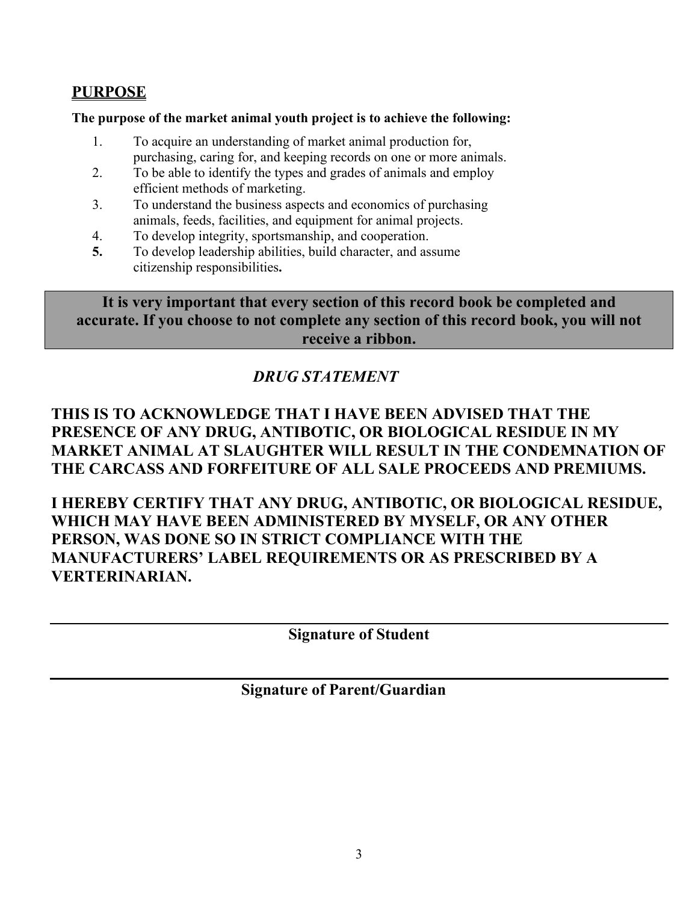#### **PURPOSE**

#### **The purpose of the market animal youth project is to achieve the following:**

- 1. To acquire an understanding of market animal production for, purchasing, caring for, and keeping records on one or more animals.
- 2. To be able to identify the types and grades of animals and employ efficient methods of marketing.
- 3. To understand the business aspects and economics of purchasing animals, feeds, facilities, and equipment for animal projects.
- 4. To develop integrity, sportsmanship, and cooperation.
- **5.** To develop leadership abilities, build character, and assume citizenship responsibilities**.**

**It is very important that every section of this record book be completed and accurate. If you choose to not complete any section of this record book, you will not receive a ribbon.**

### *DRUG STATEMENT*

### **THIS IS TO ACKNOWLEDGE THAT I HAVE BEEN ADVISED THAT THE PRESENCE OF ANY DRUG, ANTIBOTIC, OR BIOLOGICAL RESIDUE IN MY MARKET ANIMAL AT SLAUGHTER WILL RESULT IN THE CONDEMNATION OF THE CARCASS AND FORFEITURE OF ALL SALE PROCEEDS AND PREMIUMS.**

**I HEREBY CERTIFY THAT ANY DRUG, ANTIBOTIC, OR BIOLOGICAL RESIDUE, WHICH MAY HAVE BEEN ADMINISTERED BY MYSELF, OR ANY OTHER PERSON, WAS DONE SO IN STRICT COMPLIANCE WITH THE MANUFACTURERS' LABEL REQUIREMENTS OR AS PRESCRIBED BY A VERTERINARIAN.**

**Signature of Student**

**Signature of Parent/Guardian**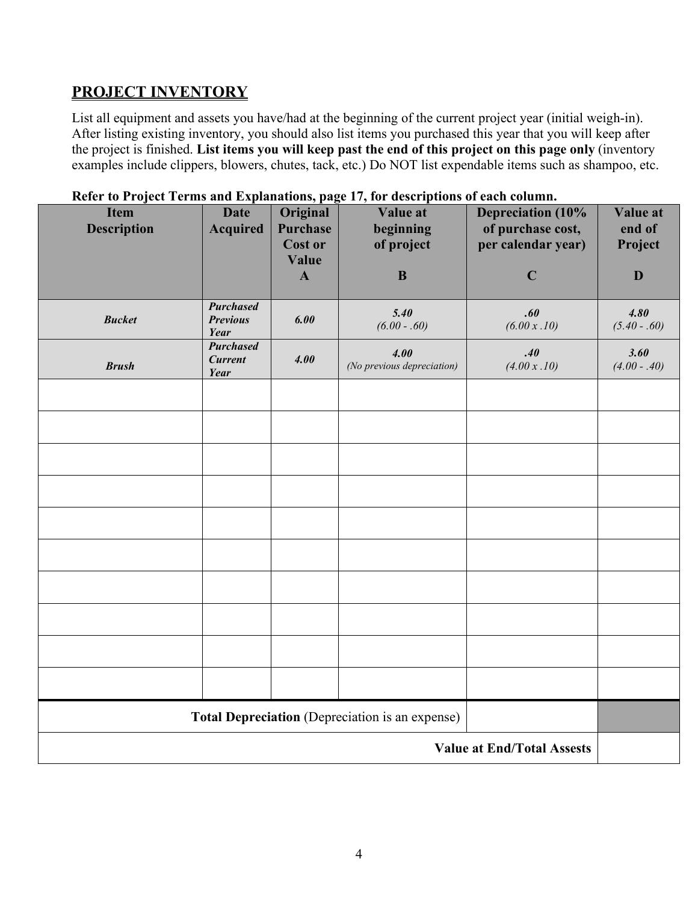### **PROJECT INVENTORY**

List all equipment and assets you have/had at the beginning of the current project year (initial weigh-in). After listing existing inventory, you should also list items you purchased this year that you will keep after the project is finished. **List items you will keep past the end of this project on this page only** (inventory examples include clippers, blowers, chutes, tack, etc.) Do NOT list expendable items such as shampoo, etc.

| <b>Item</b><br><b>Description</b>                                                    | <b>Date</b><br><b>Acquired</b>                                  | Original<br><b>Purchase</b><br><b>Cost or</b><br>Value<br>$\mathbf{A}$ | Value at<br>beginning<br>of project<br>$\bf{B}$ | <b>Depreciation (10%</b><br>of purchase cost,<br>per calendar year)<br>$\mathbf C$ | Value at<br>end of<br>Project<br>D |
|--------------------------------------------------------------------------------------|-----------------------------------------------------------------|------------------------------------------------------------------------|-------------------------------------------------|------------------------------------------------------------------------------------|------------------------------------|
| <b>Bucket</b>                                                                        | <b>Purchased</b><br><b>Previous</b><br>Year<br><b>Purchased</b> | 6.00                                                                   | 5.40<br>$(6.00-.60)$                            | .60<br>(6.00 x . 10)                                                               | 4.80<br>$(5.40-.60)$               |
| <b>Brush</b>                                                                         | <b>Current</b><br>Year                                          | 4.00                                                                   | 4.00<br>(No previous depreciation)              | .40<br>(4.00 x . 10)                                                               | 3.60<br>$(4.00 - .40)$             |
|                                                                                      |                                                                 |                                                                        |                                                 |                                                                                    |                                    |
|                                                                                      |                                                                 |                                                                        |                                                 |                                                                                    |                                    |
|                                                                                      |                                                                 |                                                                        |                                                 |                                                                                    |                                    |
|                                                                                      |                                                                 |                                                                        |                                                 |                                                                                    |                                    |
|                                                                                      |                                                                 |                                                                        |                                                 |                                                                                    |                                    |
|                                                                                      |                                                                 |                                                                        |                                                 |                                                                                    |                                    |
|                                                                                      |                                                                 |                                                                        |                                                 |                                                                                    |                                    |
| Total Depreciation (Depreciation is an expense)<br><b>Value at End/Total Assests</b> |                                                                 |                                                                        |                                                 |                                                                                    |                                    |

#### **Refer to Project Terms and Explanations, page 17, for descriptions of each column.**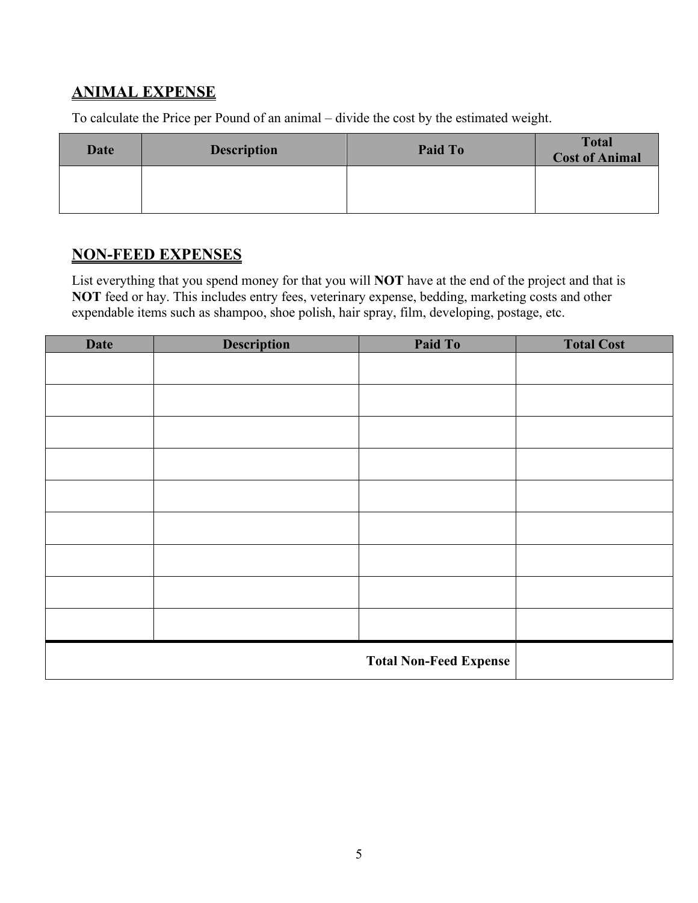### **ANIMAL EXPENSE**

To calculate the Price per Pound of an animal – divide the cost by the estimated weight.

| Date | <b>Description</b> | Paid To | <b>Total</b><br><b>Cost of Animal</b> |
|------|--------------------|---------|---------------------------------------|
|      |                    |         |                                       |

### **NON-FEED EXPENSES**

List everything that you spend money for that you will **NOT** have at the end of the project and that is NOT feed or hay. This includes entry fees, veterinary expense, bedding, marketing costs and other expendable items such as shampoo, shoe polish, hair spray, film, developing, postage, etc.

| <b>Date</b> | <b>Description</b> | Paid To                       | <b>Total Cost</b> |
|-------------|--------------------|-------------------------------|-------------------|
|             |                    |                               |                   |
|             |                    |                               |                   |
|             |                    |                               |                   |
|             |                    |                               |                   |
|             |                    |                               |                   |
|             |                    |                               |                   |
|             |                    |                               |                   |
|             |                    |                               |                   |
|             |                    |                               |                   |
|             |                    |                               |                   |
|             |                    |                               |                   |
|             |                    |                               |                   |
|             |                    |                               |                   |
|             |                    |                               |                   |
|             |                    |                               |                   |
|             |                    | <b>Total Non-Feed Expense</b> |                   |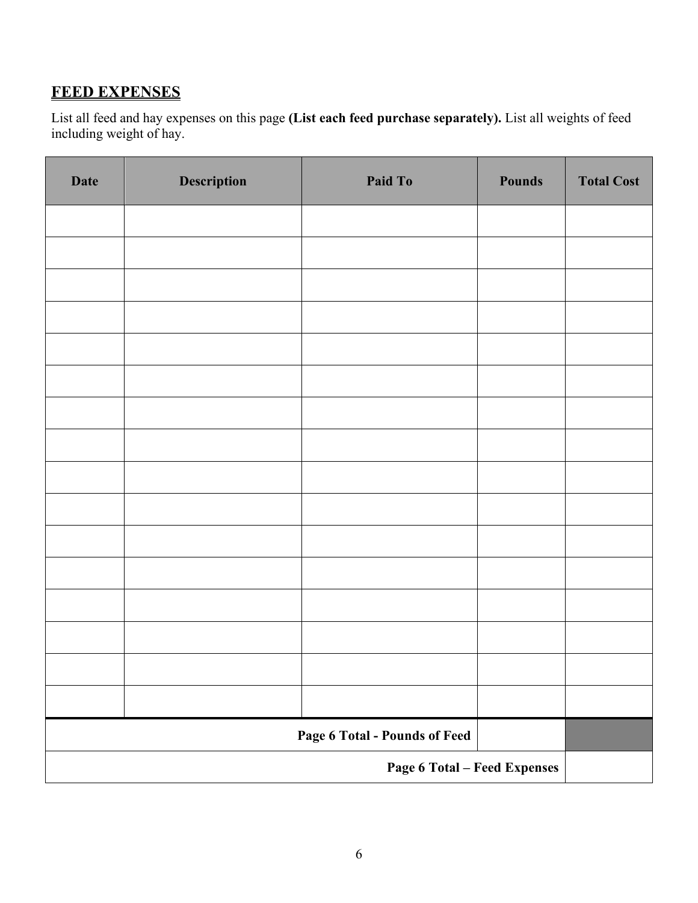### **FEED EXPENSES**

 List all feed and hay expenses on this page **(List each feed purchase separately).** List all weights of feed including weight of hay.

| <b>Date</b>                         | <b>Description</b> | Paid To | <b>Pounds</b> | <b>Total Cost</b> |
|-------------------------------------|--------------------|---------|---------------|-------------------|
|                                     |                    |         |               |                   |
|                                     |                    |         |               |                   |
|                                     |                    |         |               |                   |
|                                     |                    |         |               |                   |
|                                     |                    |         |               |                   |
|                                     |                    |         |               |                   |
|                                     |                    |         |               |                   |
|                                     |                    |         |               |                   |
|                                     |                    |         |               |                   |
|                                     |                    |         |               |                   |
|                                     |                    |         |               |                   |
|                                     |                    |         |               |                   |
|                                     |                    |         |               |                   |
|                                     |                    |         |               |                   |
|                                     |                    |         |               |                   |
|                                     |                    |         |               |                   |
| Page 6 Total - Pounds of Feed       |                    |         |               |                   |
| <b>Page 6 Total - Feed Expenses</b> |                    |         |               |                   |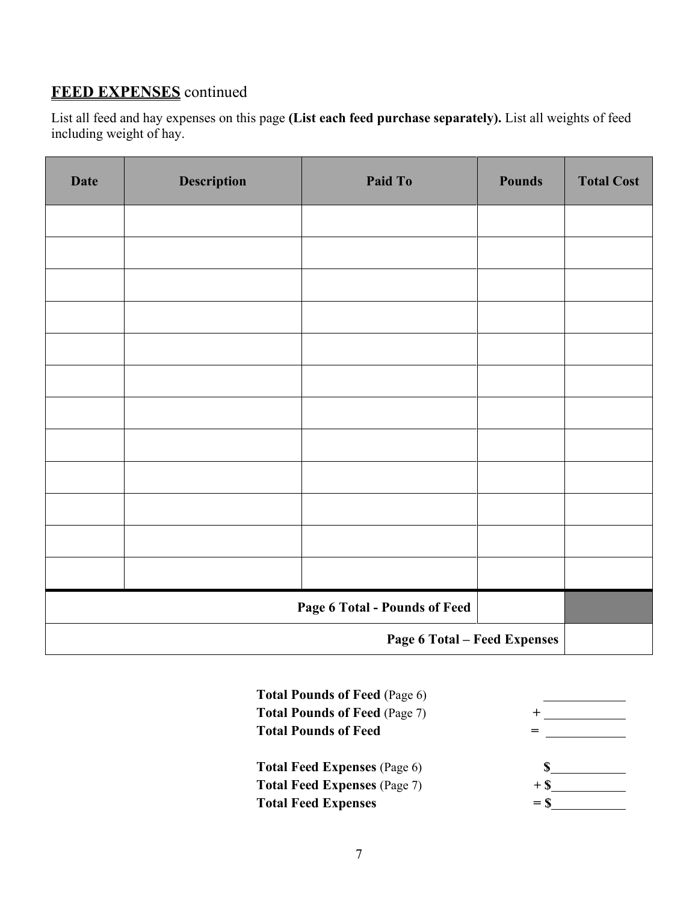### **FEED EXPENSES** continued

 List all feed and hay expenses on this page **(List each feed purchase separately).** List all weights of feed including weight of hay.

| <b>Date</b>                         | Description | Paid To | <b>Pounds</b> | <b>Total Cost</b> |
|-------------------------------------|-------------|---------|---------------|-------------------|
|                                     |             |         |               |                   |
|                                     |             |         |               |                   |
|                                     |             |         |               |                   |
|                                     |             |         |               |                   |
|                                     |             |         |               |                   |
|                                     |             |         |               |                   |
|                                     |             |         |               |                   |
|                                     |             |         |               |                   |
|                                     |             |         |               |                   |
|                                     |             |         |               |                   |
|                                     |             |         |               |                   |
|                                     |             |         |               |                   |
| Page 6 Total - Pounds of Feed       |             |         |               |                   |
| <b>Page 6 Total - Feed Expenses</b> |             |         |               |                   |

| <b>Total Pounds of Feed (Page 6)</b> |        |
|--------------------------------------|--------|
| <b>Total Pounds of Feed (Page 7)</b> |        |
| <b>Total Pounds of Feed</b>          |        |
|                                      |        |
| <b>Total Feed Expenses</b> (Page 6)  |        |
| <b>Total Feed Expenses</b> (Page 7)  | $+$ \$ |
| <b>Total Feed Expenses</b>           | $=$ S  |
|                                      |        |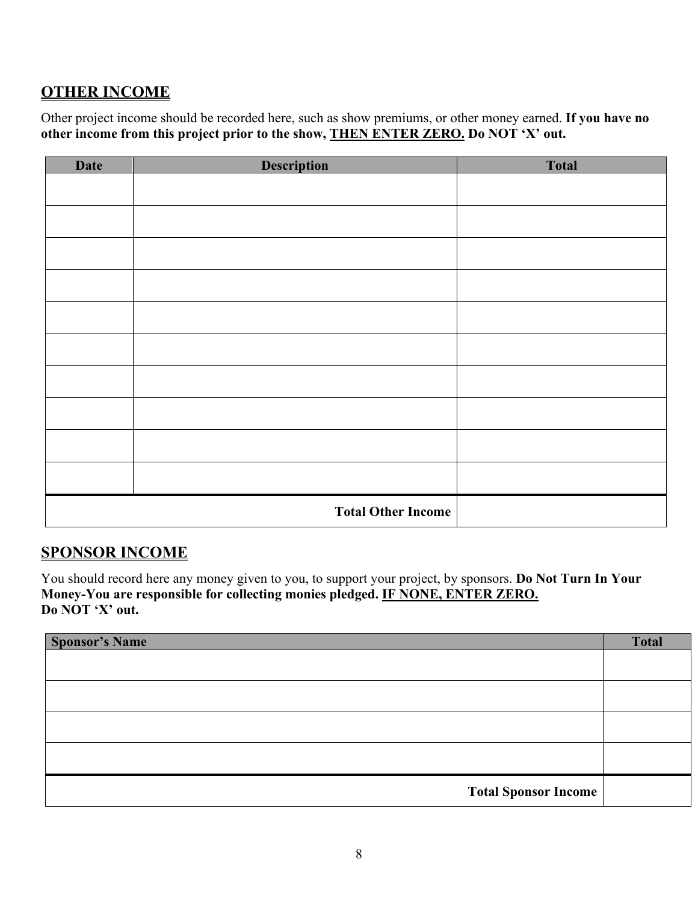### **OTHER INCOME**

Other project income should be recorded here, such as show premiums, or other money earned. **If you have no other income from this project prior to the show, THEN ENTER ZERO. Do NOT 'X' out.**

| <b>Date</b> | <b>Description</b>        | <b>Total</b> |
|-------------|---------------------------|--------------|
|             |                           |              |
|             |                           |              |
|             |                           |              |
|             |                           |              |
|             |                           |              |
|             |                           |              |
|             |                           |              |
|             |                           |              |
|             |                           |              |
|             |                           |              |
|             | <b>Total Other Income</b> |              |

#### **SPONSOR INCOME**

You should record here any money given to you, to support your project, by sponsors. **Do Not Turn In Your Money-You are responsible for collecting monies pledged. IF NONE, ENTER ZERO. Do NOT 'X' out.**

| <b>Sponsor's Name</b>       | <b>Total</b> |
|-----------------------------|--------------|
|                             |              |
|                             |              |
|                             |              |
|                             |              |
|                             |              |
|                             |              |
| <b>Total Sponsor Income</b> |              |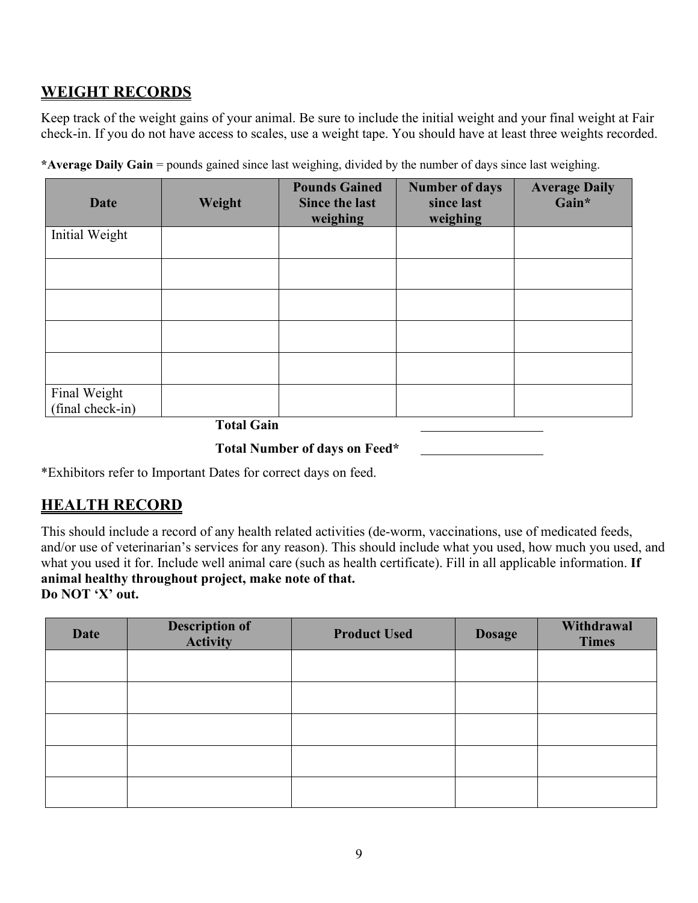### **WEIGHT RECORDS**

Keep track of the weight gains of your animal. Be sure to include the initial weight and your final weight at Fair check-in. If you do not have access to scales, use a weight tape. You should have at least three weights recorded.

| Date                             | Weight | <b>Pounds Gained</b><br><b>Since the last</b><br>weighing | <b>Number of days</b><br>since last<br>weighing | <b>Average Daily</b><br>Gain* |
|----------------------------------|--------|-----------------------------------------------------------|-------------------------------------------------|-------------------------------|
| Initial Weight                   |        |                                                           |                                                 |                               |
|                                  |        |                                                           |                                                 |                               |
|                                  |        |                                                           |                                                 |                               |
|                                  |        |                                                           |                                                 |                               |
|                                  |        |                                                           |                                                 |                               |
| Final Weight<br>(final check-in) | -----  |                                                           |                                                 |                               |

**\*Average Daily Gain** = pounds gained since last weighing, divided by the number of days since last weighing.

**Total Gain** 

**Total Number of days on Feed\***

\*Exhibitors refer to Important Dates for correct days on feed.

#### **HEALTH RECORD**

This should include a record of any health related activities (de-worm, vaccinations, use of medicated feeds, and/or use of veterinarian's services for any reason). This should include what you used, how much you used, and what you used it for. Include well animal care (such as health certificate). Fill in all applicable information. **If animal healthy throughout project, make note of that. Do NOT 'X' out.**

| <b>Date</b> | <b>Description of</b><br>Activity | <b>Product Used</b> | <b>Dosage</b> | Withdrawal<br><b>Times</b> |
|-------------|-----------------------------------|---------------------|---------------|----------------------------|
|             |                                   |                     |               |                            |
|             |                                   |                     |               |                            |
|             |                                   |                     |               |                            |
|             |                                   |                     |               |                            |
|             |                                   |                     |               |                            |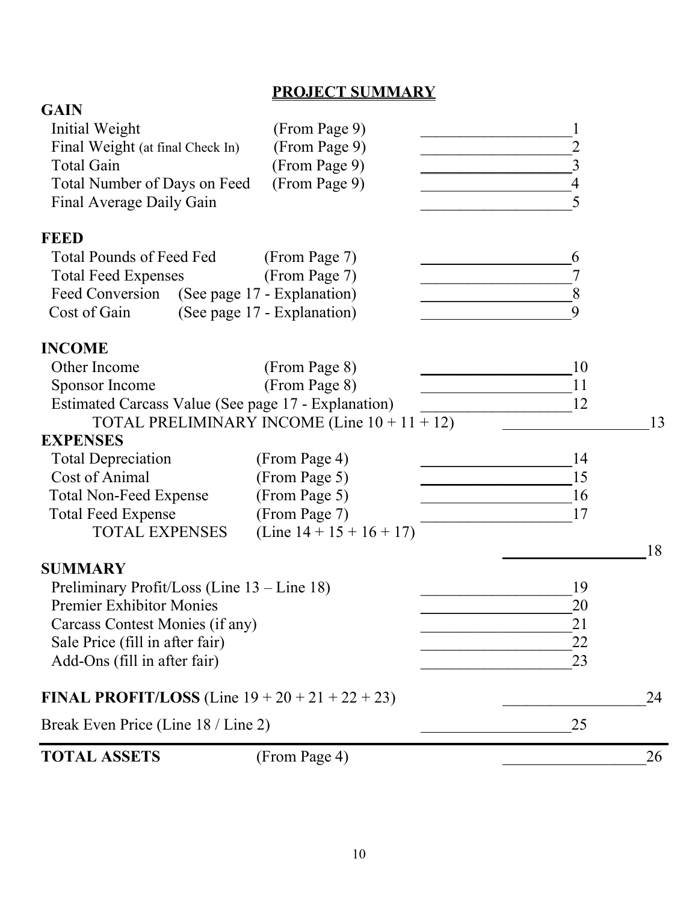### **PROJECT SUMMARY**

| <b>TOTAL ASSETS</b>                                         | (From Page 4)                                   |                | 26 |
|-------------------------------------------------------------|-------------------------------------------------|----------------|----|
| Break Even Price (Line 18 / Line 2)                         |                                                 | 25             |    |
| <b>FINAL PROFIT/LOSS</b> (Line $19 + 20 + 21 + 22 + 23$ )   |                                                 |                | 24 |
| Add-Ons (fill in after fair)                                |                                                 | 23             |    |
| Sale Price (fill in after fair)                             |                                                 | 22             |    |
| Carcass Contest Monies (if any)                             |                                                 | 21             |    |
| Premier Exhibitor Monies                                    |                                                 | 20             |    |
| Preliminary Profit/Loss (Line 13 – Line 18)                 |                                                 | 19             |    |
| <b>SUMMARY</b>                                              |                                                 |                |    |
|                                                             |                                                 |                | 18 |
| <b>TOTAL EXPENSES</b>                                       | (Line $14 + 15 + 16 + 17$ )                     |                |    |
| <b>Total Feed Expense</b>                                   | (From Page 7)                                   | 17             |    |
| <b>Total Non-Feed Expense</b>                               | (From Page 5)                                   | 16             |    |
| Cost of Animal                                              | (From Page 5)                                   | 15             |    |
| <b>Total Depreciation</b>                                   | (From Page 4)                                   | 14             |    |
| <b>EXPENSES</b>                                             |                                                 |                |    |
|                                                             | TOTAL PRELIMINARY INCOME (Line $10 + 11 + 12$ ) |                | 13 |
| Estimated Carcass Value (See page 17 - Explanation)         |                                                 | 12             |    |
| Other Income<br>Sponsor Income                              | (From Page 8)<br>(From Page 8)                  | 10<br>11       |    |
| <b>INCOME</b>                                               |                                                 |                |    |
|                                                             |                                                 |                |    |
| Feed Conversion (See page 17 - Explanation)<br>Cost of Gain | (See page 17 - Explanation)                     | 9              |    |
| <b>Total Feed Expenses</b>                                  | (From Page 7)                                   | 7<br>8         |    |
| Total Pounds of Feed Fed                                    | (From Page 7)                                   | 6              |    |
| <b>FEED</b>                                                 |                                                 |                |    |
| Final Average Daily Gain                                    |                                                 | 5              |    |
| Total Number of Days on Feed                                | (From Page 9)                                   | 4              |    |
| Total Gain                                                  | (From Page 9)                                   | 3              |    |
| Final Weight (at final Check In)                            | (From Page 9)                                   | $\overline{2}$ |    |
| <b>Initial Weight</b>                                       | (From Page 9)                                   |                |    |
| <b>GAIN</b>                                                 |                                                 |                |    |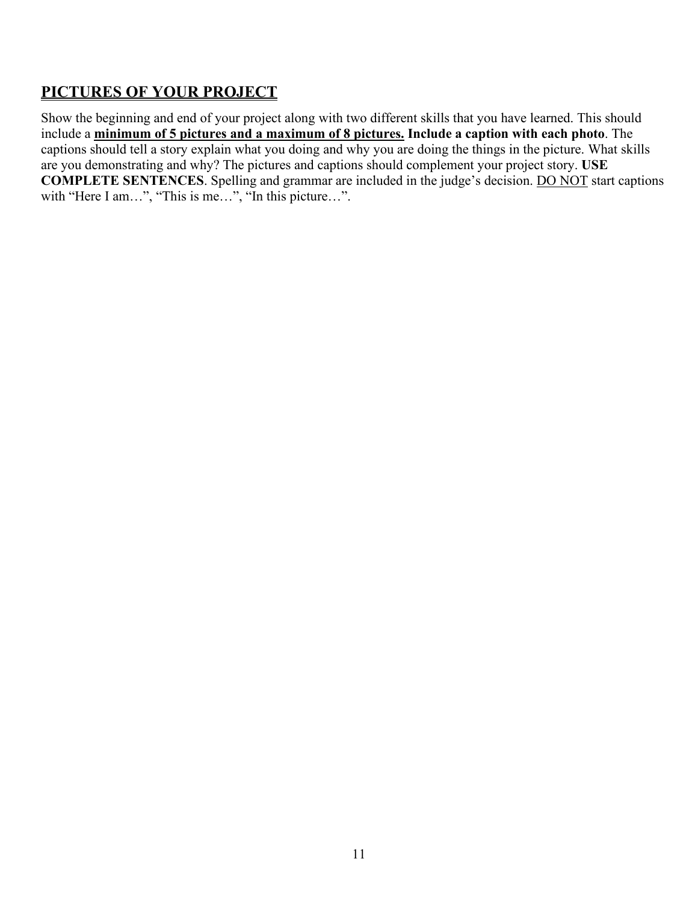### **PICTURES OF YOUR PROJECT**

Show the beginning and end of your project along with two different skills that you have learned. This should include a **minimum of 5 pictures and a maximum of 8 pictures. Include a caption with each photo**. The captions should tell a story explain what you doing and why you are doing the things in the picture. What skills are you demonstrating and why? The pictures and captions should complement your project story. **USE COMPLETE SENTENCES**. Spelling and grammar are included in the judge's decision. DO NOT start captions with "Here I am...", "This is me...", "In this picture...".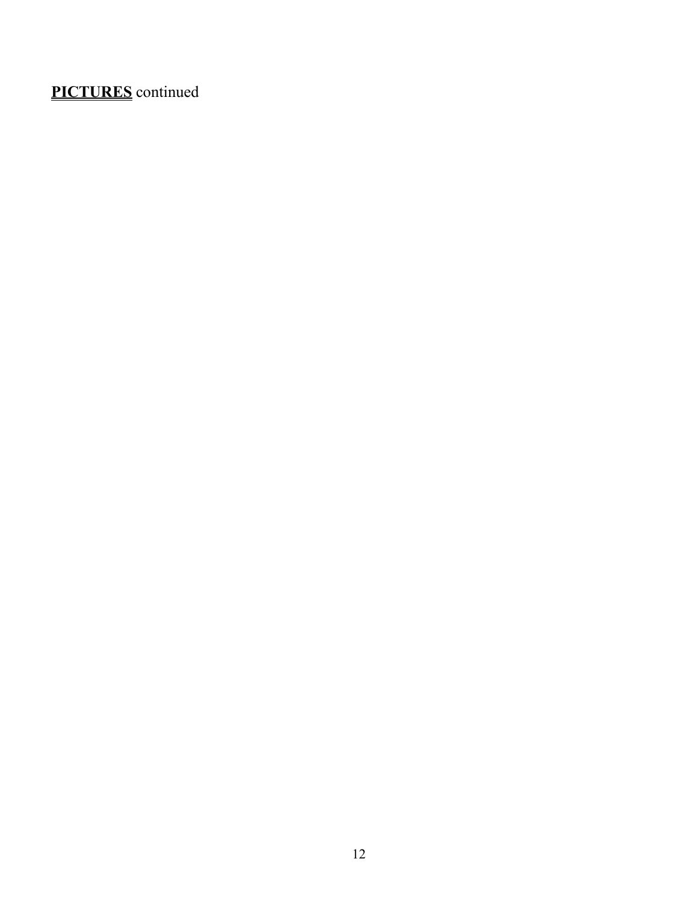# **PICTURES** continued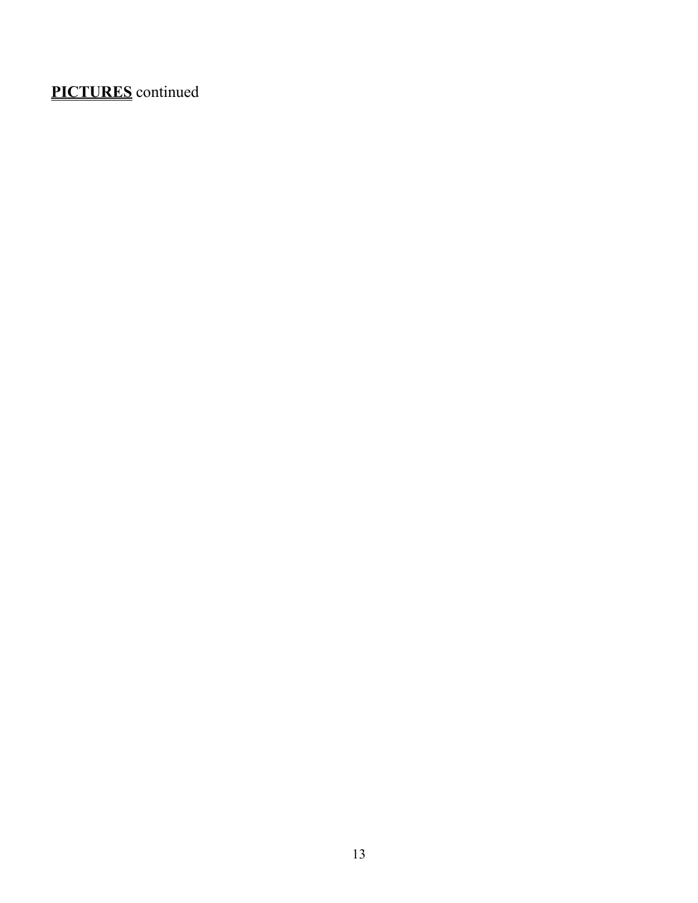# **PICTURES** continued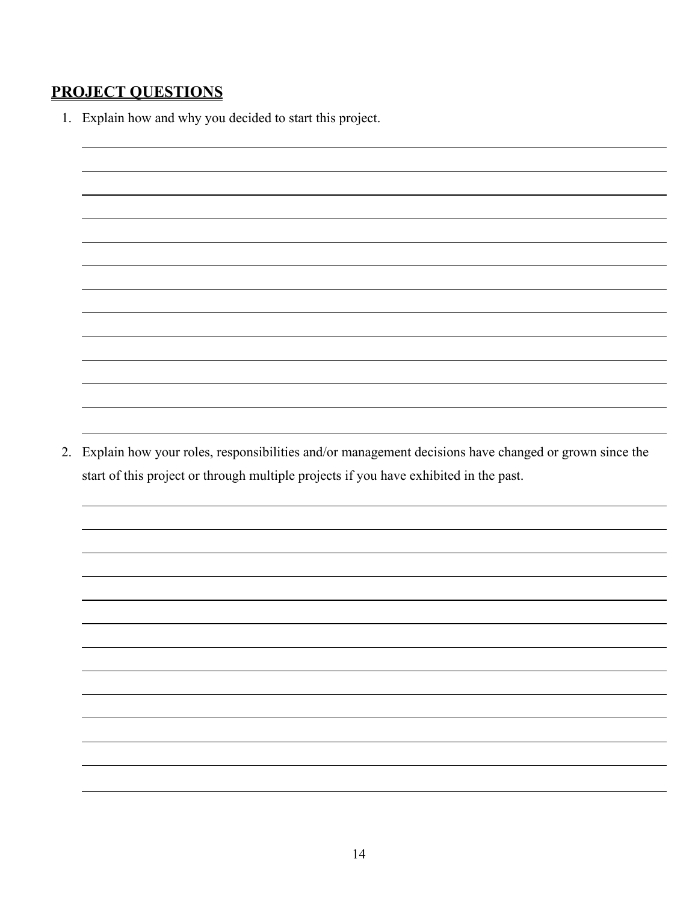### **PROJECT QUESTIONS**

1. Explain how and why you decided to start this project.

2. Explain how your roles, responsibilities and/or management decisions have changed or grown since the start of this project or through multiple projects if you have exhibited in the past.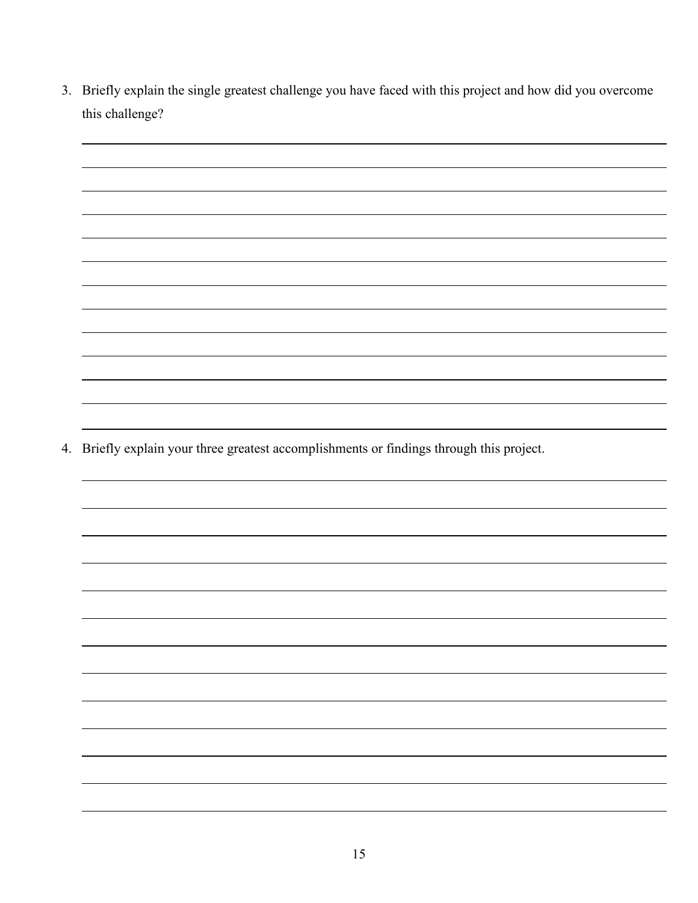3. Briefly explain the single greatest challenge you have faced with this project and how did you overcome this challenge?

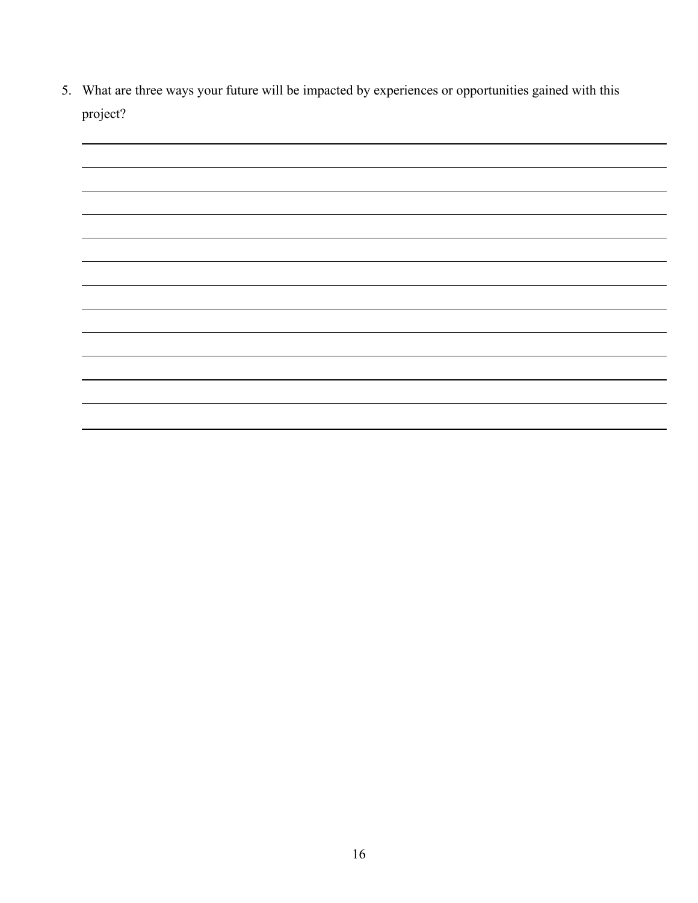5. What are three ways your future will be impacted by experiences or opportunities gained with this project?

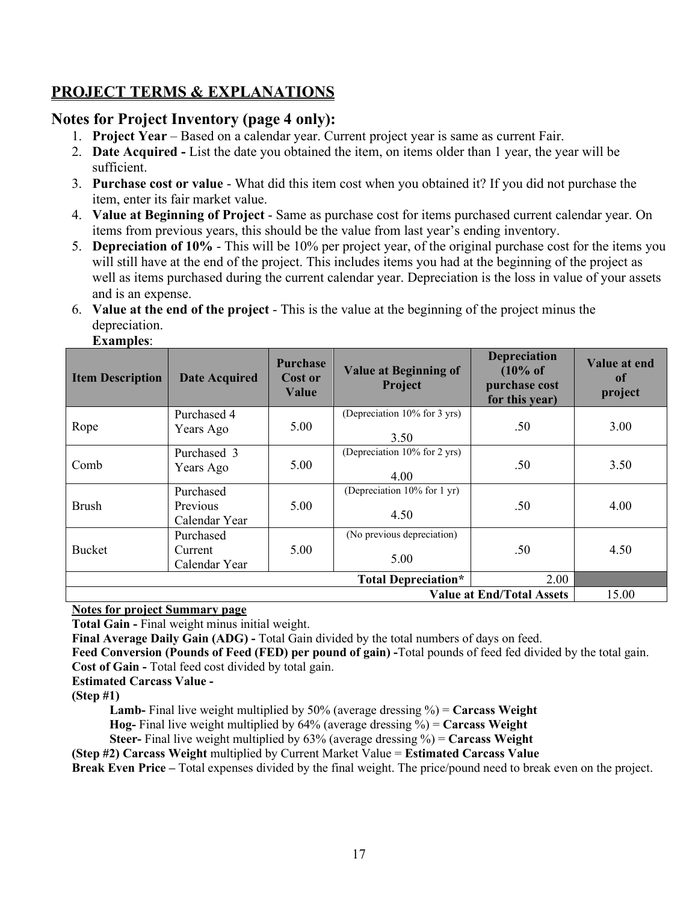### **PROJECT TERMS & EXPLANATIONS**

#### **Notes for Project Inventory (page 4 only):**

- 1. **Project Year** Based on a calendar year. Current project year is same as current Fair.
- 2. **Date Acquired -** List the date you obtained the item, on items older than 1 year, the year will be sufficient.
- 3. **Purchase cost or value** What did this item cost when you obtained it? If you did not purchase the item, enter its fair market value.
- 4. **Value at Beginning of Project** Same as purchase cost for items purchased current calendar year. On items from previous years, this should be the value from last year's ending inventory.
- 5. **Depreciation of 10%** This will be 10% per project year, of the original purchase cost for the items you will still have at the end of the project. This includes items you had at the beginning of the project as well as items purchased during the current calendar year. Depreciation is the loss in value of your assets and is an expense.
- 6. **Value at the end of the project** This is the value at the beginning of the project minus the depreciation.

| <b>Item Description</b>                                                       | <b>Date Acquired</b>                          | <b>Purchase</b><br><b>Cost or</b><br>Value | <b>Value at Beginning of</b><br>Project | <b>Depreciation</b><br>$(10\% \text{ of }$<br>purchase cost<br>for this year) | Value at end<br>of<br>project |
|-------------------------------------------------------------------------------|-----------------------------------------------|--------------------------------------------|-----------------------------------------|-------------------------------------------------------------------------------|-------------------------------|
| Rope                                                                          | Purchased 4<br>Years Ago                      | 5.00                                       | (Depreciation 10% for 3 yrs)<br>3.50    | .50                                                                           | 3.00                          |
| Comb                                                                          | Purchased 3<br>Years Ago                      | 5.00                                       | (Depreciation 10% for 2 yrs)<br>4.00    | .50                                                                           | 3.50                          |
| <b>Brush</b>                                                                  | Purchased<br><b>Previous</b><br>Calendar Year | 5.00                                       | (Depreciation 10% for 1 yr)<br>4.50     | .50                                                                           | 4.00                          |
| <b>Bucket</b>                                                                 | Purchased<br>Current<br>Calendar Year         | 5.00                                       | (No previous depreciation)<br>5.00      | .50                                                                           | 4.50                          |
| <b>Total Depreciation*</b><br>2.00                                            |                                               |                                            |                                         |                                                                               |                               |
| <b>Value at End/Total Assets</b><br>15.00<br>$- -$<br>$\sim$<br>$\sim$ $\sim$ |                                               |                                            |                                         |                                                                               |                               |

**Examples**:

**Notes for project Summary page**

**Total Gain -** Final weight minus initial weight.

**Final Average Daily Gain (ADG) -** Total Gain divided by the total numbers of days on feed.

**Feed Conversion (Pounds of Feed (FED) per pound of gain) -**Total pounds of feed fed divided by the total gain. **Cost of Gain -** Total feed cost divided by total gain.

**Estimated Carcass Value -**

**(Step #1)**

 **Lamb-** Final live weight multiplied by 50% (average dressing %) = **Carcass Weight**

 **Hog-** Final live weight multiplied by 64% (average dressing %) = **Carcass Weight**

 **Steer-** Final live weight multiplied by 63% (average dressing %) = **Carcass Weight**

**(Step #2) Carcass Weight** multiplied by Current Market Value = **Estimated Carcass Value**

**Break Even Price –** Total expenses divided by the final weight. The price/pound need to break even on the project.